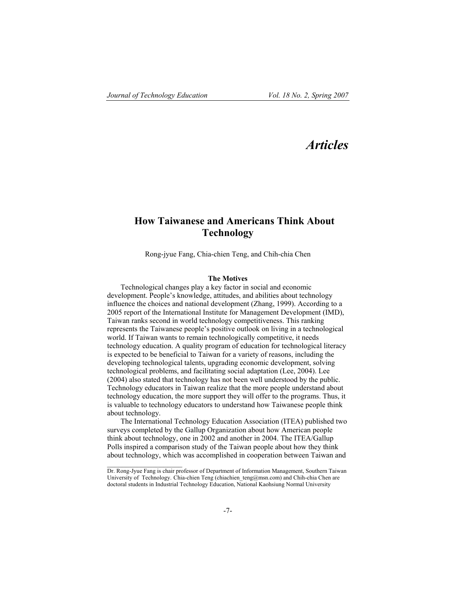$\overline{\phantom{a}}$  , where  $\overline{\phantom{a}}$ 

# *Articles*

## **How Taiwanese and Americans Think About Technology**

Rong-jyue Fang, Chia-chien Teng, and Chih-chia Chen

## **The Motives**

Technological changes play a key factor in social and economic development. People's knowledge, attitudes, and abilities about technology influence the choices and national development (Zhang, 1999). According to a 2005 report of the International Institute for Management Development (IMD), Taiwan ranks second in world technology competitiveness. This ranking represents the Taiwanese people's positive outlook on living in a technological world. If Taiwan wants to remain technologically competitive, it needs technology education. A quality program of education for technological literacy is expected to be beneficial to Taiwan for a variety of reasons, including the developing technological talents, upgrading economic development, solving technological problems, and facilitating social adaptation (Lee, 2004). Lee (2004) also stated that technology has not been well understood by the public. Technology educators in Taiwan realize that the more people understand about technology education, the more support they will offer to the programs. Thus, it is valuable to technology educators to understand how Taiwanese people think about technology.

The International Technology Education Association (ITEA) published two surveys completed by the Gallup Organization about how American people think about technology, one in 2002 and another in 2004. The ITEA/Gallup Polls inspired a comparison study of the Taiwan people about how they think about technology, which was accomplished in cooperation between Taiwan and

Dr. Rong-Jyue Fang is chair professor of Department of Information Management, Southern Taiwan University of Technology. Chia-chien Teng (chiachien teng@msn.com) and Chih-chia Chen are doctoral students in Industrial Technology Education, National Kaohsiung Normal University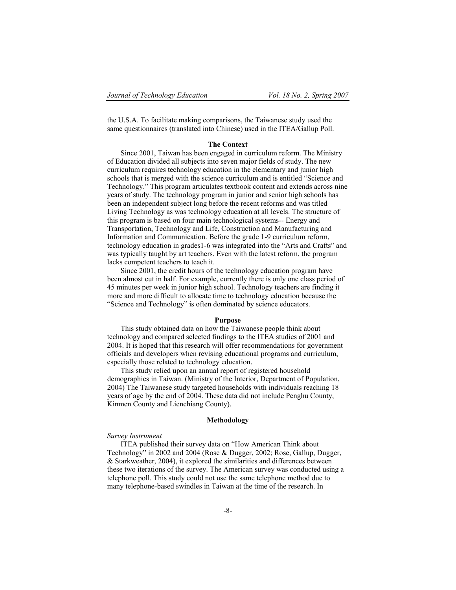the U.S.A. To facilitate making comparisons, the Taiwanese study used the same questionnaires (translated into Chinese) used in the ITEA/Gallup Poll.

## **The Context**

Since 2001, Taiwan has been engaged in curriculum reform. The Ministry of Education divided all subjects into seven major fields of study. The new curriculum requires technology education in the elementary and junior high schools that is merged with the science curriculum and is entitled "Science and Technology." This program articulates textbook content and extends across nine years of study. The technology program in junior and senior high schools has been an independent subject long before the recent reforms and was titled Living Technology as was technology education at all levels. The structure of this program is based on four main technological systems-- Energy and Transportation, Technology and Life, Construction and Manufacturing and Information and Communication. Before the grade 1-9 curriculum reform, technology education in grades1-6 was integrated into the "Arts and Crafts" and was typically taught by art teachers. Even with the latest reform, the program lacks competent teachers to teach it.

Since 2001, the credit hours of the technology education program have been almost cut in half. For example, currently there is only one class period of 45 minutes per week in junior high school. Technology teachers are finding it more and more difficult to allocate time to technology education because the "Science and Technology" is often dominated by science educators.

## **Purpose**

This study obtained data on how the Taiwanese people think about technology and compared selected findings to the ITEA studies of 2001 and 2004. It is hoped that this research will offer recommendations for government officials and developers when revising educational programs and curriculum, especially those related to technology education.

This study relied upon an annual report of registered household demographics in Taiwan. (Ministry of the Interior, Department of Population, 2004) The Taiwanese study targeted households with individuals reaching 18 years of age by the end of 2004. These data did not include Penghu County, Kinmen County and Lienchiang County).

#### **Methodology**

#### *Survey Instrument*

ITEA published their survey data on "How American Think about Technology" in 2002 and 2004 (Rose & Dugger, 2002; Rose, Gallup, Dugger, & Starkweather, 2004), it explored the similarities and differences between these two iterations of the survey. The American survey was conducted using a telephone poll. This study could not use the same telephone method due to many telephone-based swindles in Taiwan at the time of the research. In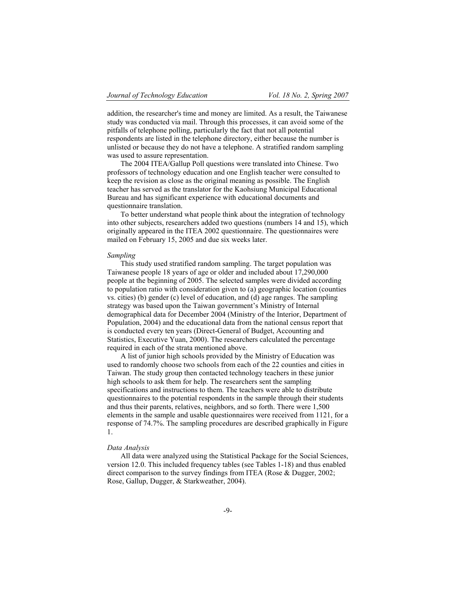addition, the researcher's time and money are limited. As a result, the Taiwanese study was conducted via mail. Through this processes, it can avoid some of the pitfalls of telephone polling, particularly the fact that not all potential respondents are listed in the telephone directory, either because the number is unlisted or because they do not have a telephone. A stratified random sampling was used to assure representation.

The 2004 ITEA/Gallup Poll questions were translated into Chinese. Two professors of technology education and one English teacher were consulted to keep the revision as close as the original meaning as possible. The English teacher has served as the translator for the Kaohsiung Municipal Educational Bureau and has significant experience with educational documents and questionnaire translation.

To better understand what people think about the integration of technology into other subjects, researchers added two questions (numbers 14 and 15), which originally appeared in the ITEA 2002 questionnaire. The questionnaires were mailed on February 15, 2005 and due six weeks later.

#### *Sampling*

This study used stratified random sampling. The target population was Taiwanese people 18 years of age or older and included about 17,290,000 people at the beginning of 2005. The selected samples were divided according to population ratio with consideration given to (a) geographic location (counties vs. cities) (b) gender (c) level of education, and (d) age ranges. The sampling strategy was based upon the Taiwan government's Ministry of Internal demographical data for December 2004 (Ministry of the Interior, Department of Population, 2004) and the educational data from the national census report that is conducted every ten years (Direct-General of Budget, Accounting and Statistics, Executive Yuan, 2000). The researchers calculated the percentage required in each of the strata mentioned above.

A list of junior high schools provided by the Ministry of Education was used to randomly choose two schools from each of the 22 counties and cities in Taiwan. The study group then contacted technology teachers in these junior high schools to ask them for help. The researchers sent the sampling specifications and instructions to them. The teachers were able to distribute questionnaires to the potential respondents in the sample through their students and thus their parents, relatives, neighbors, and so forth. There were 1,500 elements in the sample and usable questionnaires were received from 1121, for a response of 74.7%. The sampling procedures are described graphically in Figure 1.

#### *Data Analysis*

All data were analyzed using the Statistical Package for the Social Sciences, version 12.0. This included frequency tables (see Tables 1-18) and thus enabled direct comparison to the survey findings from ITEA (Rose & Dugger, 2002; Rose, Gallup, Dugger, & Starkweather, 2004).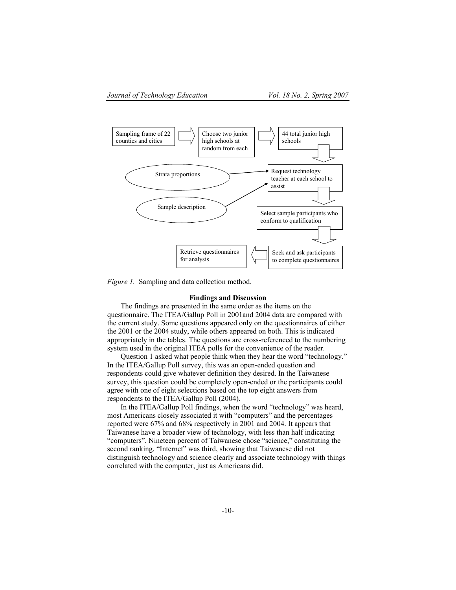

*Figure 1.* Sampling and data collection method.

#### **Findings and Discussion**

The findings are presented in the same order as the items on the questionnaire. The ITEA/Gallup Poll in 2001and 2004 data are compared with the current study. Some questions appeared only on the questionnaires of either the 2001 or the 2004 study, while others appeared on both. This is indicated appropriately in the tables. The questions are cross-referenced to the numbering system used in the original ITEA polls for the convenience of the reader.

Question 1 asked what people think when they hear the word "technology." In the ITEA/Gallup Poll survey, this was an open-ended question and respondents could give whatever definition they desired. In the Taiwanese survey, this question could be completely open-ended or the participants could agree with one of eight selections based on the top eight answers from respondents to the ITEA/Gallup Poll (2004).

In the ITEA/Gallup Poll findings, when the word "technology" was heard, most Americans closely associated it with "computers" and the percentages reported were 67% and 68% respectively in 2001 and 2004. It appears that Taiwanese have a broader view of technology, with less than half indicating "computers". Nineteen percent of Taiwanese chose "science," constituting the second ranking. "Internet" was third, showing that Taiwanese did not distinguish technology and science clearly and associate technology with things correlated with the computer, just as Americans did.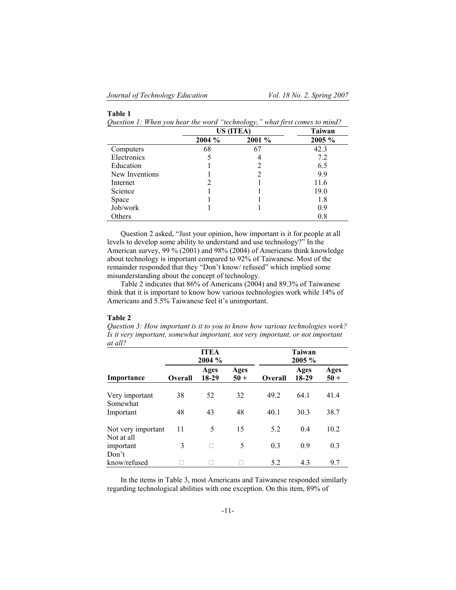## **Table 1**

*Question 1: When you hear the word "technology," what first comes to mind?*

|                |        | US (ITEA) | <b>Taiwan</b> |
|----------------|--------|-----------|---------------|
|                | 2004 % | 2001 %    | 2005 %        |
| Computers      | 68     | 67        | 42.3          |
| Electronics    |        |           | 7.2           |
| Education      |        |           | 6.5           |
| New Inventions |        |           | 9.9           |
| Internet       |        |           | 11.6          |
| Science        |        |           | 19.0          |
| Space          |        |           | 1.8           |
| Job/work       |        |           | 0.9           |
| Others         |        |           | 0.8           |

Question 2 asked, "Just your opinion, how important is it for people at all levels to develop some ability to understand and use technology?" In the American survey, 99 % (2001) and 98% (2004) of Americans think knowledge about technology is important compared to 92% of Taiwanese. Most of the remainder responded that they "Don't know/ refused" which implied some misunderstanding about the concept of technology.

Table 2 indicates that 86% of Americans (2004) and 89.3% of Taiwanese think that it is important to know how various technologies work while 14% of Americans and 5.5% Taiwanese feel it's unimportant.

### **Table 2**

*Question 3: How important is it to you to know how various technologies work? Is it very important, somewhat important, not very important, or not important at all?*

|                                  |                | <b>ITEA</b><br>2004 % |                |                | Taiwan<br>2005 % |                       |  |  |
|----------------------------------|----------------|-----------------------|----------------|----------------|------------------|-----------------------|--|--|
| Importance                       | <b>Overall</b> | Ages<br>18-29         | Ages<br>$50 +$ | <b>Overall</b> | Ages<br>18-29    | <b>Ages</b><br>$50 +$ |  |  |
| Very important<br>Somewhat       | 38             | 52                    | 32             | 49.2           | 64.1             | 41.4                  |  |  |
| Important                        | 48             | 43                    | 48             | 40.1           | 30.3             | 38.7                  |  |  |
| Not very important<br>Not at all | 11             | 5                     | 15             | 5.2            | 0.4              | 10.2                  |  |  |
| important<br>Don't               | 3              |                       | 5              | 0.3            | 0.9              | 0.3                   |  |  |
| know/refused                     |                |                       |                | 5.2            | 4.3              | 9.7                   |  |  |

In the items in Table 3, most Americans and Taiwanese responded similarly regarding technological abilities with one exception. On this item, 89% of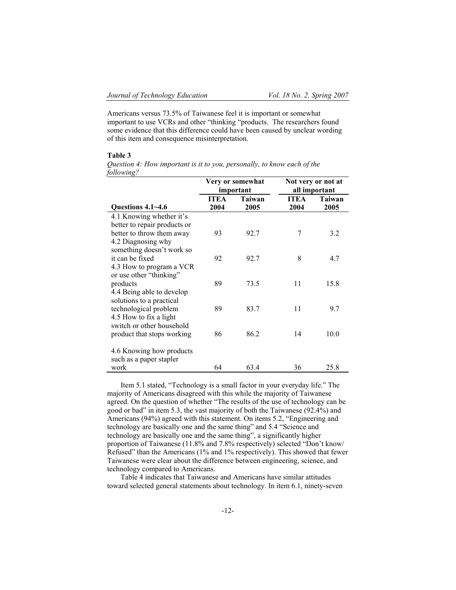Americans versus 73.5% of Taiwanese feel it is important or somewhat important to use VCRs and other "thinking "products. The researchers found some evidence that this difference could have been caused by unclear wording of this item and consequence misinterpretation.

#### **Table 3**

*Question 4: How important is it to you, personally, to know each of the following?*

|                                                                                                             |                     | Very or somewhat<br>important | Not very or not at<br>all important |                |  |
|-------------------------------------------------------------------------------------------------------------|---------------------|-------------------------------|-------------------------------------|----------------|--|
| Questions 4.1~4.6                                                                                           | <b>ITEA</b><br>2004 | Taiwan<br>2005                | <b>ITEA</b><br>2004                 | Taiwan<br>2005 |  |
| 4.1 Knowing whether it's<br>better to repair products or<br>better to throw them away<br>4.2 Diagnosing why | 93                  | 92.7                          | 7                                   | 3.2            |  |
| something doesn't work so<br>it can be fixed<br>4.3 How to program a VCR                                    | 92                  | 92.7                          | 8                                   | 4.7            |  |
| or use other "thinking"<br>products<br>4.4 Being able to develop                                            | 89                  | 73.5                          | 11                                  | 15.8           |  |
| solutions to a practical<br>technological problem<br>4.5 How to fix a light                                 | 89                  | 83.7                          | 11                                  | 9.7            |  |
| switch or other household<br>product that stops working                                                     | 86                  | 86.2                          | 14                                  | 10.0           |  |
| 4.6 Knowing how products<br>such as a paper stapler<br>work                                                 | 64                  | 63.4                          | 36                                  | 25.8           |  |

Item 5.1 stated, "Technology is a small factor in your everyday life." The majority of Americans disagreed with this while the majority of Taiwanese agreed. On the question of whether "The results of the use of technology can be good or bad" in item 5.3, the vast majority of both the Taiwanese (92.4%) and Americans (94%) agreed with this statement. On items 5.2, "Engineering and technology are basically one and the same thing" and 5.4 "Science and technology are basically one and the same thing", a significantly higher proportion of Taiwanese (11.8% and 7.8% respectively) selected "Don't know/ Refused" than the Americans (1% and 1% respectively). This showed that fewer Taiwanese were clear about the difference between engineering, science, and technology compared to Americans.

Table 4 indicates that Taiwanese and Americans have similar attitudes toward selected general statements about technology. In item 6.1, ninety-seven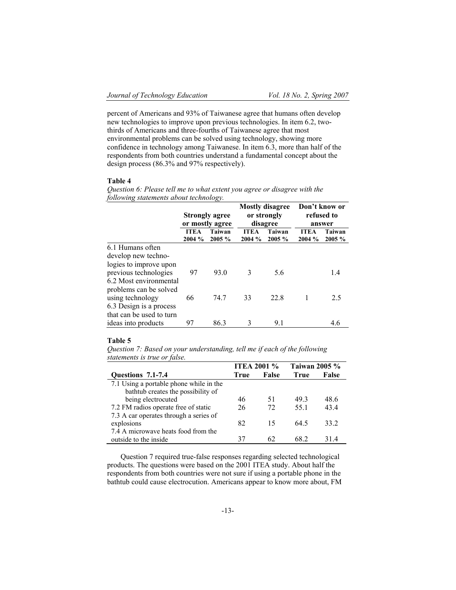percent of Americans and 93% of Taiwanese agree that humans often develop new technologies to improve upon previous technologies. In item 6.2, twothirds of Americans and three-fourths of Taiwanese agree that most environmental problems can be solved using technology, showing more confidence in technology among Taiwanese. In item 6.3, more than half of the respondents from both countries understand a fundamental concept about the design process (86.3% and 97% respectively).

## **Table 4**

*Question 6: Please tell me to what extent you agree or disagree with the following statements about technology.*

|                                                 | Strongly agree<br>or mostly agree |                  |    | <b>Mostly disagree</b><br>or strongly<br>disagree | Don't know or<br>refused to<br>answer |                  |  |
|-------------------------------------------------|-----------------------------------|------------------|----|---------------------------------------------------|---------------------------------------|------------------|--|
|                                                 | <b>ITEA</b><br>2004 %             | Taiwan<br>2005 % |    | Taiwan<br>$2005 \%$                               | <b>ITEA</b><br>2004 %                 | Taiwan<br>2005 % |  |
| 6.1 Humans often<br>develop new techno-         |                                   |                  |    |                                                   |                                       |                  |  |
| logies to improve upon                          |                                   |                  |    |                                                   |                                       |                  |  |
| previous technologies<br>6.2 Most environmental | 97                                | 93.0             | 3  | 5.6                                               |                                       | 1.4              |  |
| problems can be solved                          |                                   |                  |    |                                                   |                                       |                  |  |
| using technology<br>6.3 Design is a process     | 66                                | 74.7             | 33 | 22.8                                              |                                       | 2.5              |  |
| that can be used to turn                        |                                   |                  |    |                                                   |                                       |                  |  |
| ideas into products                             | 97                                | 86.3             | 3  | 9.1                                               |                                       | 4.6              |  |

## **Table 5**

*Question 7: Based on your understanding, tell me if each of the following statements is true or false.*

|                                         | <b>ITEA 2001 %</b> |              | <b>Taiwan 2005 %</b> |       |  |
|-----------------------------------------|--------------------|--------------|----------------------|-------|--|
| Questions 7.1-7.4                       | True               | <b>False</b> | <b>True</b>          | False |  |
| 7.1 Using a portable phone while in the |                    |              |                      |       |  |
| bathtub creates the possibility of      |                    |              |                      |       |  |
| being electrocuted                      | 46                 | 51           | 493                  | 48.6  |  |
| 7.2 FM radios operate free of static    | 26                 | 72           | 55.1                 | 43.4  |  |
| 7.3 A car operates through a series of  |                    |              |                      |       |  |
| explosions                              | 82                 | 15           | 64.5                 | 33 2  |  |
| 7.4 A microwave heats food from the     |                    |              |                      |       |  |
| outside to the inside                   | 37                 | 62           | 68.2                 | 31.4  |  |

Question 7 required true-false responses regarding selected technological products. The questions were based on the 2001 ITEA study. About half the respondents from both countries were not sure if using a portable phone in the bathtub could cause electrocution. Americans appear to know more about, FM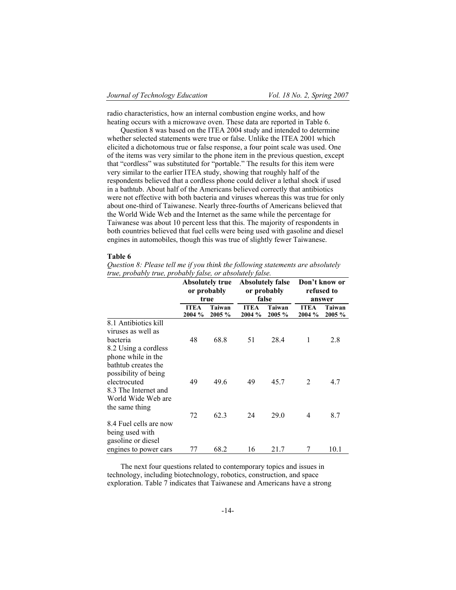radio characteristics, how an internal combustion engine works, and how heating occurs with a microwave oven. These data are reported in Table 6.

Question 8 was based on the ITEA 2004 study and intended to determine whether selected statements were true or false. Unlike the ITEA 2001 which elicited a dichotomous true or false response, a four point scale was used. One of the items was very similar to the phone item in the previous question, except that "cordless" was substituted for "portable." The results for this item were very similar to the earlier ITEA study, showing that roughly half of the respondents believed that a cordless phone could deliver a lethal shock if used in a bathtub. About half of the Americans believed correctly that antibiotics were not effective with both bacteria and viruses whereas this was true for only about one-third of Taiwanese. Nearly three-fourths of Americans believed that the World Wide Web and the Internet as the same while the percentage for Taiwanese was about 10 percent less that this. The majority of respondents in both countries believed that fuel cells were being used with gasoline and diesel engines in automobiles, though this was true of slightly fewer Taiwanese.

#### **Table 6**

*Question 8: Please tell me if you think the following statements are absolutely true, probably true, probably false, or absolutely false.*

|                                                                                                                             | <b>Absolutely true</b><br>or probably<br>true |                  |                       | <b>Absolutely false</b><br>or probably<br>false | Don't know or<br>refused to<br>answer |                     |  |
|-----------------------------------------------------------------------------------------------------------------------------|-----------------------------------------------|------------------|-----------------------|-------------------------------------------------|---------------------------------------|---------------------|--|
|                                                                                                                             | <b>ITEA</b><br>2004 %                         | Taiwan<br>2005 % | <b>ITEA</b><br>2004 % | Taiwan<br>2005 %                                | <b>ITEA</b><br>2004 %                 | Taiwan<br>$2005 \%$ |  |
| 8.1 Antibiotics kill<br>viruses as well as<br>bacteria<br>8.2 Using a cordless<br>phone while in the<br>bathtub creates the | 48                                            | 68.8             | 51                    | 28.4                                            | 1                                     | 2.8                 |  |
| possibility of being<br>electrocuted<br>8.3 The Internet and<br>World Wide Web are<br>the same thing                        | 49                                            | 49.6             | 49                    | 45.7                                            | 2                                     | 4.7                 |  |
| 8.4 Fuel cells are now<br>being used with<br>gasoline or diesel<br>engines to power cars                                    | 72<br>77                                      | 62.3<br>68.2     | 24<br>16              | 29.0<br>21.7                                    | 4<br>7                                | 8.7<br>10.1         |  |

The next four questions related to contemporary topics and issues in technology, including biotechnology, robotics, construction, and space exploration. Table 7 indicates that Taiwanese and Americans have a strong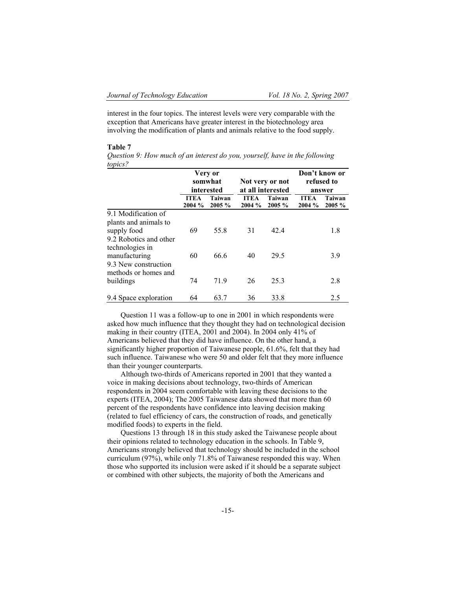interest in the four topics. The interest levels were very comparable with the exception that Americans have greater interest in the biotechnology area involving the modification of plants and animals relative to the food supply.

#### **Table 7**

*Question 9: How much of an interest do you, yourself, have in the following topics?*

|                                                            |                       | Very or               |                       |                                      |                      | Don't know or    |  |
|------------------------------------------------------------|-----------------------|-----------------------|-----------------------|--------------------------------------|----------------------|------------------|--|
|                                                            |                       | somwhat<br>interested |                       | Not very or not<br>at all interested | refused to<br>answer |                  |  |
|                                                            | <b>ITEA</b><br>2004 % | Taiwan<br>2005 %      | <b>ITEA</b><br>2004 % | Taiwan<br>2005 %                     |                      | Taiwan<br>2005 % |  |
| 9.1 Modification of<br>plants and animals to               |                       |                       |                       |                                      |                      |                  |  |
| supply food                                                | 69                    | 55.8                  | 31                    | 42.4                                 |                      | 1.8              |  |
| 9.2 Robotics and other<br>technologies in<br>manufacturing | 60                    | 66.6                  | 40                    | 29.5                                 |                      | 3.9              |  |
| 9.3 New construction<br>methods or homes and               |                       |                       |                       |                                      |                      |                  |  |
| buildings                                                  | 74                    | 71.9                  | 26                    | 25.3                                 |                      | 2.8              |  |
| 9.4 Space exploration                                      | 64                    | 63.7                  | 36                    | 33.8                                 |                      | 2.5              |  |

Question 11 was a follow-up to one in 2001 in which respondents were asked how much influence that they thought they had on technological decision making in their country (ITEA, 2001 and 2004). In 2004 only 41% of Americans believed that they did have influence. On the other hand, a significantly higher proportion of Taiwanese people, 61.6%, felt that they had such influence. Taiwanese who were 50 and older felt that they more influence than their younger counterparts.

Although two-thirds of Americans reported in 2001 that they wanted a voice in making decisions about technology, two-thirds of American respondents in 2004 seem comfortable with leaving these decisions to the experts (ITEA, 2004); The 2005 Taiwanese data showed that more than 60 percent of the respondents have confidence into leaving decision making (related to fuel efficiency of cars, the construction of roads, and genetically modified foods) to experts in the field.

Questions 13 through 18 in this study asked the Taiwanese people about their opinions related to technology education in the schools. In Table 9, Americans strongly believed that technology should be included in the school curriculum (97%), while only 71.8% of Taiwanese responded this way. When those who supported its inclusion were asked if it should be a separate subject or combined with other subjects, the majority of both the Americans and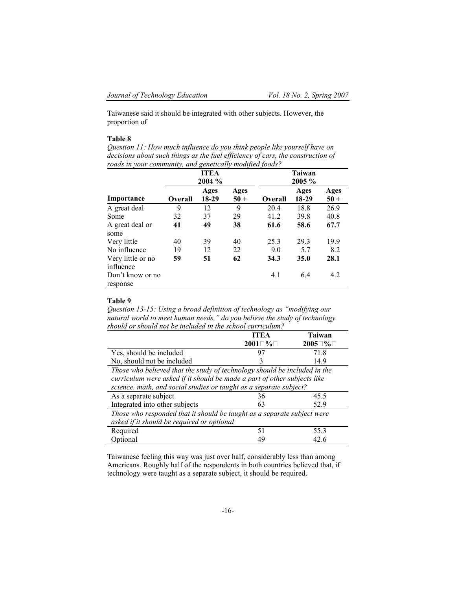Taiwanese said it should be integrated with other subjects. However, the proportion of

## **Table 8**

*Question 11: How much influence do you think people like yourself have on decisions about such things as the fuel efficiency of cars, the construction of roads in your community, and genetically modified foods?*

|                                |                | <b>ITEA</b><br>2004 % |               | <b>Taiwan</b><br>2005 % |               |                |  |
|--------------------------------|----------------|-----------------------|---------------|-------------------------|---------------|----------------|--|
| Importance                     | <b>Overall</b> | Ages<br>18-29         | Ages<br>$50+$ | <b>Overall</b>          | Ages<br>18-29 | Ages<br>$50 +$ |  |
| A great deal                   | 9              | 12                    | 9             | 20.4                    | 18.8          | 26.9           |  |
| Some                           | 32             | 37                    | 29            | 41.2                    | 39.8          | 40.8           |  |
| A great deal or<br>some        | 41             | 49                    | 38            | 61.6                    | 58.6          | 67.7           |  |
| Very little                    | 40             | 39                    | 40            | 25.3                    | 29.3          | 19.9           |  |
| No influence                   | 19             | 12                    | 22            | 9.0                     | 5.7           | 8.2            |  |
| Very little or no<br>influence | 59             | 51                    | 62            | 34.3                    | <b>35.0</b>   | 28.1           |  |
| Don't know or no<br>response   |                |                       |               | 4.1                     | 6.4           | 4.2            |  |

## **Table 9**

*Question 13-15: Using a broad definition of technology as "modifying our natural world to meet human needs," do you believe the study of technology should or should not be included in the school curriculum?*

|                                                                                                                                                                                                                             | ITEA       | <b>Taiwan</b> |  |  |  |  |  |
|-----------------------------------------------------------------------------------------------------------------------------------------------------------------------------------------------------------------------------|------------|---------------|--|--|--|--|--|
|                                                                                                                                                                                                                             | $2001 \t%$ | $2005 \, \%$  |  |  |  |  |  |
| Yes, should be included                                                                                                                                                                                                     | 97         | 71.8          |  |  |  |  |  |
| No, should not be included                                                                                                                                                                                                  | 3          | 14.9          |  |  |  |  |  |
| Those who believed that the study of technology should be included in the<br>curriculum were asked if it should be made a part of other subjects like<br>science, math, and social studies or taught as a separate subject? |            |               |  |  |  |  |  |
| As a separate subject                                                                                                                                                                                                       | 36         | 45.5          |  |  |  |  |  |
| Integrated into other subjects                                                                                                                                                                                              | 63         | 52.9          |  |  |  |  |  |
| Those who responded that it should be taught as a separate subject were<br>asked if it should be required or optional                                                                                                       |            |               |  |  |  |  |  |
| Required                                                                                                                                                                                                                    | 51         | 55.3          |  |  |  |  |  |
| Optional                                                                                                                                                                                                                    | 49         | 42.6          |  |  |  |  |  |

Taiwanese feeling this way was just over half, considerably less than among Americans. Roughly half of the respondents in both countries believed that, if technology were taught as a separate subject, it should be required.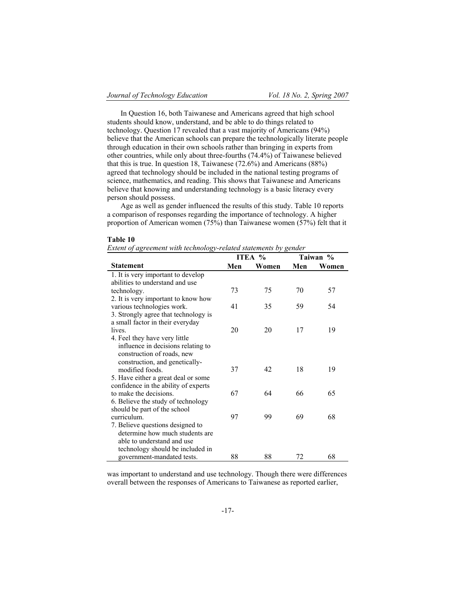In Question 16, both Taiwanese and Americans agreed that high school students should know, understand, and be able to do things related to technology. Question 17 revealed that a vast majority of Americans (94%) believe that the American schools can prepare the technologically literate people through education in their own schools rather than bringing in experts from other countries, while only about three-fourths (74.4%) of Taiwanese believed that this is true. In question 18, Taiwanese (72.6%) and Americans (88%) agreed that technology should be included in the national testing programs of science, mathematics, and reading. This shows that Taiwanese and Americans believe that knowing and understanding technology is a basic literacy every person should possess.

Age as well as gender influenced the results of this study. Table 10 reports a comparison of responses regarding the importance of technology. A higher proportion of American women (75%) than Taiwanese women (57%) felt that it

#### **Table 10**

| <b>Table 10</b>                                                  |  |
|------------------------------------------------------------------|--|
| Extent of agreement with technology-related statements by gender |  |

|                                      |     | ITEA % | Taiwan % |       |  |
|--------------------------------------|-----|--------|----------|-------|--|
| <b>Statement</b>                     | Men | Women  | Men      | Women |  |
| 1. It is very important to develop   |     |        |          |       |  |
| abilities to understand and use      |     |        |          |       |  |
| technology.                          | 73  | 75     | 70       | 57    |  |
| 2. It is very important to know how  |     |        |          |       |  |
| various technologies work.           | 41  | 35     | 59       | 54    |  |
| 3. Strongly agree that technology is |     |        |          |       |  |
| a small factor in their everyday     |     |        |          |       |  |
| lives.                               | 20  | 20     | 17       | 19    |  |
| 4. Feel they have very little        |     |        |          |       |  |
| influence in decisions relating to   |     |        |          |       |  |
| construction of roads, new           |     |        |          |       |  |
| construction, and genetically-       |     |        |          |       |  |
| modified foods.                      | 37  | 42     | 18       | 19    |  |
| 5. Have either a great deal or some  |     |        |          |       |  |
| confidence in the ability of experts |     |        |          |       |  |
| to make the decisions.               | 67  | 64     | 66       | 65    |  |
| 6. Believe the study of technology   |     |        |          |       |  |
| should be part of the school         |     |        |          |       |  |
| curriculum.                          | 97  | 99     | 69       | 68    |  |
| 7. Believe questions designed to     |     |        |          |       |  |
| determine how much students are      |     |        |          |       |  |
| able to understand and use           |     |        |          |       |  |
| technology should be included in     |     |        |          |       |  |
| government-mandated tests.           | 88  | 88     | 72       | 68    |  |

was important to understand and use technology. Though there were differences overall between the responses of Americans to Taiwanese as reported earlier,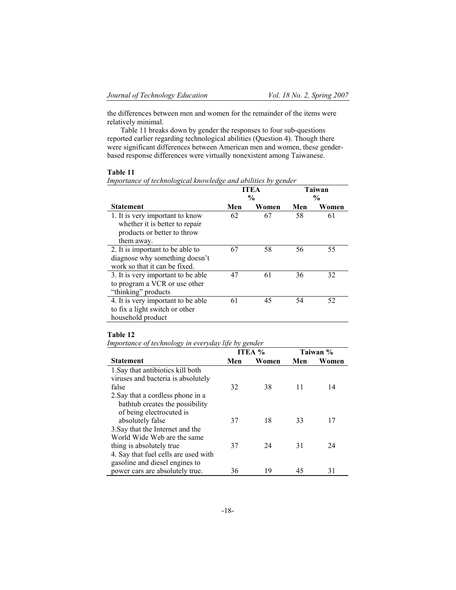the differences between men and women for the remainder of the items were relatively minimal.

Table 11 breaks down by gender the responses to four sub-questions reported earlier regarding technological abilities (Question 4). Though there were significant differences between American men and women, these genderbased response differences were virtually nonexistent among Taiwanese.

## **Table 11**

| Importance of technological knowledge and abilities by gender |  |  |  |  |  |
|---------------------------------------------------------------|--|--|--|--|--|
|                                                               |  |  |  |  |  |

|                                    | <b>ITEA</b>   |       | Taiwan        |       |
|------------------------------------|---------------|-------|---------------|-------|
|                                    | $\frac{0}{0}$ |       | $\frac{0}{0}$ |       |
| <b>Statement</b>                   | Men           | Women | Men           | Women |
| 1. It is very important to know    | 62            | 67    | 58            | 61    |
| whether it is better to repair     |               |       |               |       |
| products or better to throw        |               |       |               |       |
| them away.                         |               |       |               |       |
| 2. It is important to be able to   | 67            | 58    | 56            | 55    |
| diagnose why something doesn't     |               |       |               |       |
| work so that it can be fixed.      |               |       |               |       |
| 3. It is very important to be able | 47            | 61    | 36            | 32    |
| to program a VCR or use other      |               |       |               |       |
| "thinking" products                |               |       |               |       |
| 4. It is very important to be able | 61            | 45    | 54            | 52    |
| to fix a light switch or other     |               |       |               |       |
| household product                  |               |       |               |       |

## **Table 12**

*Importance of technology in everyday life by gender* 

|                                      | <b>ITEA</b> $%$ |       | Taiwan % |       |
|--------------------------------------|-----------------|-------|----------|-------|
| <b>Statement</b>                     | Men             | Women | Men      | Women |
| 1. Say that antibiotics kill both    |                 |       |          |       |
| viruses and bacteria is absolutely   |                 |       |          |       |
| false                                | 32              | 38    | 11       | 14    |
| 2. Say that a cordless phone in a    |                 |       |          |       |
| bathtub creates the possibility      |                 |       |          |       |
| of being electrocuted is             |                 |       |          |       |
| absolutely false                     | 37              | 18    | 33       | 17    |
| 3. Say that the Internet and the     |                 |       |          |       |
| World Wide Web are the same          |                 |       |          |       |
| thing is absolutely true.            | 37              | 24    | 31       | 24    |
| 4. Say that fuel cells are used with |                 |       |          |       |
| gasoline and diesel engines to       |                 |       |          |       |
| power cars are absolutely true.      | 36              | 19    | 45       | 31    |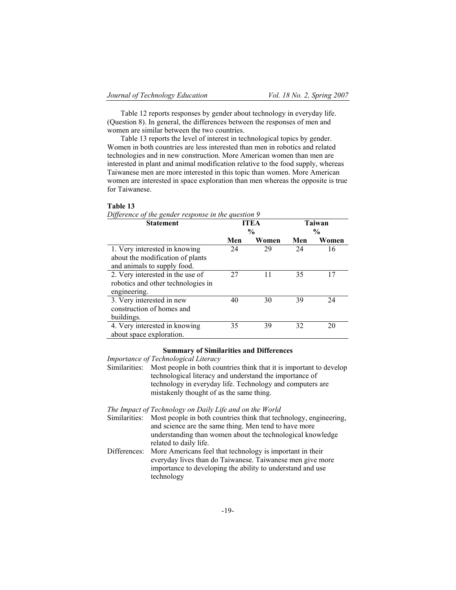Table 12 reports responses by gender about technology in everyday life. (Question 8). In general, the differences between the responses of men and women are similar between the two countries.

Table 13 reports the level of interest in technological topics by gender. Women in both countries are less interested than men in robotics and related technologies and in new construction. More American women than men are interested in plant and animal modification relative to the food supply, whereas Taiwanese men are more interested in this topic than women. More American women are interested in space exploration than men whereas the opposite is true for Taiwanese.

#### **Table 13**

*Difference of the gender response in the question 9*

| <b>Statement</b>                   | <b>ITEA</b>   |       | <b>Taiwan</b> |       |
|------------------------------------|---------------|-------|---------------|-------|
|                                    | $\frac{6}{9}$ |       | $\frac{6}{9}$ |       |
|                                    | Men           | Women | Men           | Women |
| 1. Very interested in knowing      | 24            | 29    | 24            | 16    |
| about the modification of plants   |               |       |               |       |
| and animals to supply food.        |               |       |               |       |
| 2. Very interested in the use of   | 27            | 11    | 35            | 17    |
| robotics and other technologies in |               |       |               |       |
| engineering.                       |               |       |               |       |
| 3. Very interested in new          | 40            | 30    | 39            | 24    |
| construction of homes and          |               |       |               |       |
| buildings.                         |               |       |               |       |
| 4. Very interested in knowing      | 35            | 39    | 32            | 20    |
| about space exploration.           |               |       |               |       |

## **Summary of Similarities and Differences**

*Importance of Technological Literacy*

Similarities: Most people in both countries think that it is important to develop technological literacy and understand the importance of technology in everyday life. Technology and computers are mistakenly thought of as the same thing.

*The Impact of Technology on Daily Life and on the World*

- Similarities: Most people in both countries think that technology, engineering, and science are the same thing. Men tend to have more understanding than women about the technological knowledge related to daily life.
- Differences: More Americans feel that technology is important in their everyday lives than do Taiwanese. Taiwanese men give more importance to developing the ability to understand and use technology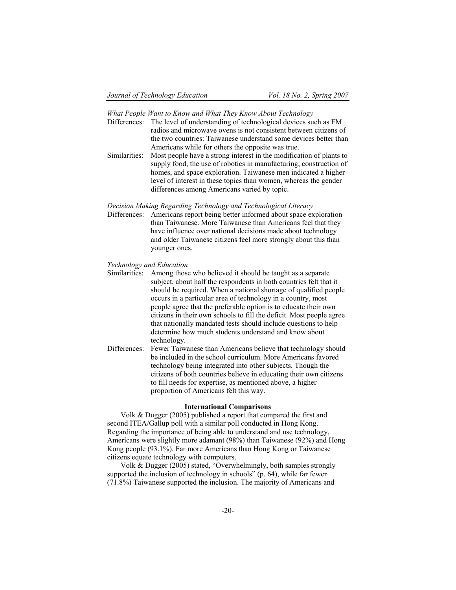*What People Want to Know and What They Know About Technology*

- Differences: The level of understanding of technological devices such as FM radios and microwave ovens is not consistent between citizens of the two countries: Taiwanese understand some devices better than Americans while for others the opposite was true.
- Similarities: Most people have a strong interest in the modification of plants to supply food, the use of robotics in manufacturing, construction of homes, and space exploration. Taiwanese men indicated a higher level of interest in these topics than women, whereas the gender differences among Americans varied by topic.

*Decision Making Regarding Technology and Technological Literacy*

Differences: Americans report being better informed about space exploration than Taiwanese. More Taiwanese than Americans feel that they have influence over national decisions made about technology and older Taiwanese citizens feel more strongly about this than younger ones.

#### *Technology and Education*

- Similarities: Among those who believed it should be taught as a separate subject, about half the respondents in both countries felt that it should be required. When a national shortage of qualified people occurs in a particular area of technology in a country, most people agree that the preferable option is to educate their own citizens in their own schools to fill the deficit. Most people agree that nationally mandated tests should include questions to help determine how much students understand and know about technology. Differences: Fewer Taiwanese than Americans believe that technology should
- be included in the school curriculum. More Americans favored technology being integrated into other subjects. Though the citizens of both countries believe in educating their own citizens to fill needs for expertise, as mentioned above, a higher proportion of Americans felt this way.

## **International Comparisons**

Volk & Dugger (2005) published a report that compared the first and second ITEA/Gallup poll with a similar poll conducted in Hong Kong. Regarding the importance of being able to understand and use technology, Americans were slightly more adamant (98%) than Taiwanese (92%) and Hong Kong people (93.1%). Far more Americans than Hong Kong or Taiwanese citizens equate technology with computers.

Volk & Dugger (2005) stated, "Overwhelmingly, both samples strongly supported the inclusion of technology in schools" (p. 64), while far fewer (71.8%) Taiwanese supported the inclusion. The majority of Americans and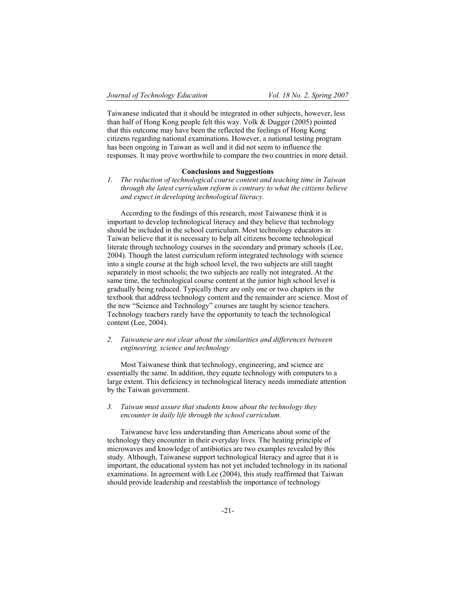Taiwanese indicated that it should be integrated in other subjects, however, less than half of Hong Kong people felt this way. Volk & Dugger (2005) pointed that this outcome may have been the reflected the feelings of Hong Kong citizens regarding national examinations. However, a national testing program has been ongoing in Taiwan as well and it did not seem to influence the responses. It may prove worthwhile to compare the two countries in more detail.

## **Conclusions and Suggestions**

*1. The reduction of technological course content and teaching time in Taiwan through the latest curriculum reform is contrary to what the citizens believe and expect in developing technological literacy.* 

According to the findings of this research, most Taiwanese think it is important to develop technological literacy and they believe that technology should be included in the school curriculum. Most technology educators in Taiwan believe that it is necessary to help all citizens become technological literate through technology courses in the secondary and primary schools (Lee, 2004). Though the latest curriculum reform integrated technology with science into a single course at the high school level, the two subjects are still taught separately in most schools; the two subjects are really not integrated. At the same time, the technological course content at the junior high school level is gradually being reduced. Typically there are only one or two chapters in the textbook that address technology content and the remainder are science. Most of the new "Science and Technology" courses are taught by science teachers. Technology teachers rarely have the opportunity to teach the technological content (Lee, 2004).

## *2. Taiwanese are not clear about the similarities and differences between engineering, science and technology*

Most Taiwanese think that technology, engineering, and science are essentially the same. In addition, they equate technology with computers to a large extent. This deficiency in technological literacy needs immediate attention by the Taiwan government.

## *3. Taiwan must assure that students know about the technology they encounter in daily life through the school curriculum.*

Taiwanese have less understanding than Americans about some of the technology they encounter in their everyday lives. The heating principle of microwaves and knowledge of antibiotics are two examples revealed by this study. Although, Taiwanese support technological literacy and agree that it is important, the educational system has not yet included technology in its national examinations. In agreement with Lee (2004), this study reaffirmed that Taiwan should provide leadership and reestablish the importance of technology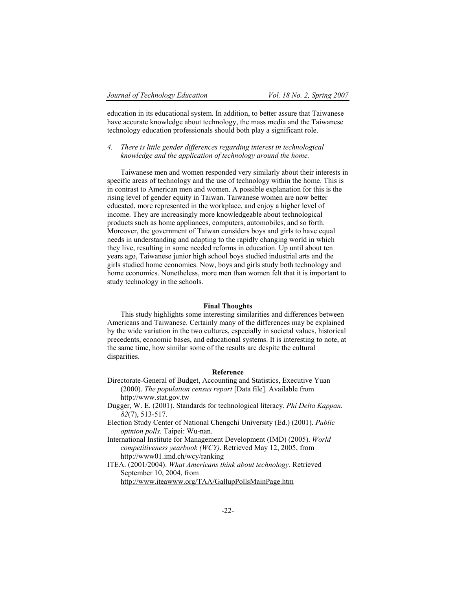education in its educational system. In addition, to better assure that Taiwanese have accurate knowledge about technology, the mass media and the Taiwanese technology education professionals should both play a significant role.

*4. There is little gender differences regarding interest in technological knowledge and the application of technology around the home.*

Taiwanese men and women responded very similarly about their interests in specific areas of technology and the use of technology within the home. This is in contrast to American men and women. A possible explanation for this is the rising level of gender equity in Taiwan. Taiwanese women are now better educated, more represented in the workplace, and enjoy a higher level of income. They are increasingly more knowledgeable about technological products such as home appliances, computers, automobiles, and so forth. Moreover, the government of Taiwan considers boys and girls to have equal needs in understanding and adapting to the rapidly changing world in which they live, resulting in some needed reforms in education. Up until about ten years ago, Taiwanese junior high school boys studied industrial arts and the girls studied home economics. Now, boys and girls study both technology and home economics. Nonetheless, more men than women felt that it is important to study technology in the schools.

## **Final Thoughts**

This study highlights some interesting similarities and differences between Americans and Taiwanese. Certainly many of the differences may be explained by the wide variation in the two cultures, especially in societal values, historical precedents, economic bases, and educational systems. It is interesting to note, at the same time, how similar some of the results are despite the cultural disparities.

## **Reference**

Directorate-General of Budget, Accounting and Statistics, Executive Yuan (2000). *The population census report* [Data file]. Available from http://www.stat.gov.tw

- Dugger, W. E. (2001). Standards for technological literacy. *Phi Delta Kappan. 82*(7), 513-517.
- Election Study Center of National Chengchi University (Ed.) (2001). *Public opinion polls.* Taipei: Wu-nan.

International Institute for Management Development (IMD) (2005). *World competitiveness yearbook (WCY)*. Retrieved May 12, 2005, from http://www01.imd.ch/wcy/ranking

ITEA. (2001/2004). *What Americans think about technology.* Retrieved September 10, 2004, from http://www.iteawww.org/TAA/GallupPollsMainPage.htm